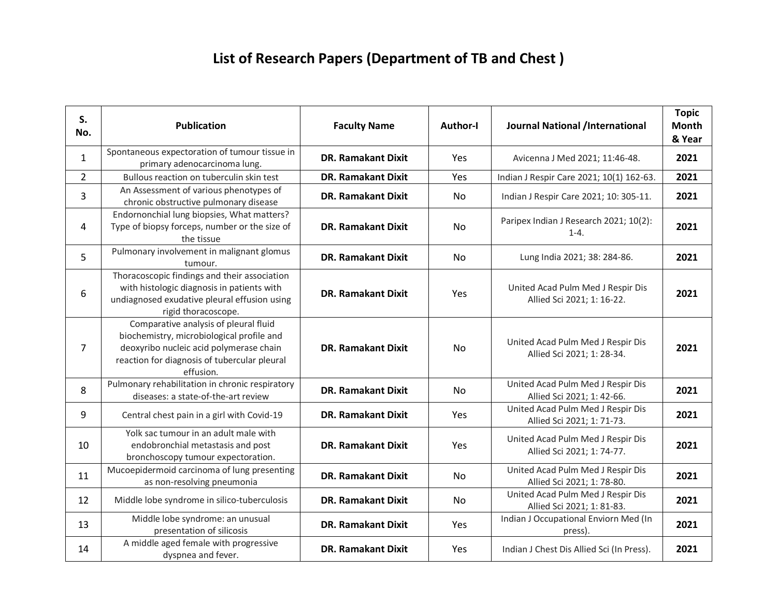## **List of Research Papers (Department of TB and Chest )**

| S.<br>No.      | <b>Publication</b>                                                                                                                                                                         | <b>Faculty Name</b>       | <b>Author-I</b> | <b>Journal National /International</b>                          | <b>Topic</b><br><b>Month</b><br>& Year |
|----------------|--------------------------------------------------------------------------------------------------------------------------------------------------------------------------------------------|---------------------------|-----------------|-----------------------------------------------------------------|----------------------------------------|
| $\mathbf{1}$   | Spontaneous expectoration of tumour tissue in<br>primary adenocarcinoma lung.                                                                                                              | <b>DR. Ramakant Dixit</b> | Yes             | Avicenna J Med 2021; 11:46-48.                                  | 2021                                   |
| $\overline{2}$ | Bullous reaction on tuberculin skin test                                                                                                                                                   | <b>DR. Ramakant Dixit</b> | Yes             | Indian J Respir Care 2021; 10(1) 162-63.                        | 2021                                   |
| 3              | An Assessment of various phenotypes of<br>chronic obstructive pulmonary disease                                                                                                            | <b>DR. Ramakant Dixit</b> | No              | Indian J Respir Care 2021; 10: 305-11.                          | 2021                                   |
| 4              | Endornonchial lung biopsies, What matters?<br>Type of biopsy forceps, number or the size of<br>the tissue                                                                                  | <b>DR. Ramakant Dixit</b> | No              | Paripex Indian J Research 2021; 10(2):<br>$1 - 4.$              | 2021                                   |
| 5              | Pulmonary involvement in malignant glomus<br>tumour.                                                                                                                                       | <b>DR. Ramakant Dixit</b> | No              | Lung India 2021; 38: 284-86.                                    | 2021                                   |
| 6              | Thoracoscopic findings and their association<br>with histologic diagnosis in patients with<br>undiagnosed exudative pleural effusion using<br>rigid thoracoscope.                          | <b>DR. Ramakant Dixit</b> | Yes             | United Acad Pulm Med J Respir Dis<br>Allied Sci 2021; 1: 16-22. | 2021                                   |
| $\overline{7}$ | Comparative analysis of pleural fluid<br>biochemistry, microbiological profile and<br>deoxyribo nucleic acid polymerase chain<br>reaction for diagnosis of tubercular pleural<br>effusion. | <b>DR. Ramakant Dixit</b> | <b>No</b>       | United Acad Pulm Med J Respir Dis<br>Allied Sci 2021; 1: 28-34. | 2021                                   |
| 8              | Pulmonary rehabilitation in chronic respiratory<br>diseases: a state-of-the-art review                                                                                                     | <b>DR. Ramakant Dixit</b> | No              | United Acad Pulm Med J Respir Dis<br>Allied Sci 2021; 1: 42-66. | 2021                                   |
| 9              | Central chest pain in a girl with Covid-19                                                                                                                                                 | <b>DR. Ramakant Dixit</b> | Yes             | United Acad Pulm Med J Respir Dis<br>Allied Sci 2021; 1: 71-73. | 2021                                   |
| 10             | Yolk sac tumour in an adult male with<br>endobronchial metastasis and post<br>bronchoscopy tumour expectoration.                                                                           | <b>DR. Ramakant Dixit</b> | Yes             | United Acad Pulm Med J Respir Dis<br>Allied Sci 2021; 1: 74-77. | 2021                                   |
| 11             | Mucoepidermoid carcinoma of lung presenting<br>as non-resolving pneumonia                                                                                                                  | <b>DR. Ramakant Dixit</b> | No              | United Acad Pulm Med J Respir Dis<br>Allied Sci 2021; 1: 78-80. | 2021                                   |
| 12             | Middle lobe syndrome in silico-tuberculosis                                                                                                                                                | <b>DR. Ramakant Dixit</b> | No              | United Acad Pulm Med J Respir Dis<br>Allied Sci 2021; 1: 81-83. | 2021                                   |
| 13             | Middle lobe syndrome: an unusual<br>presentation of silicosis                                                                                                                              | <b>DR. Ramakant Dixit</b> | Yes             | Indian J Occupational Enviorn Med (In<br>press).                | 2021                                   |
| 14             | A middle aged female with progressive<br>dyspnea and fever.                                                                                                                                | <b>DR. Ramakant Dixit</b> | Yes             | Indian J Chest Dis Allied Sci (In Press).                       | 2021                                   |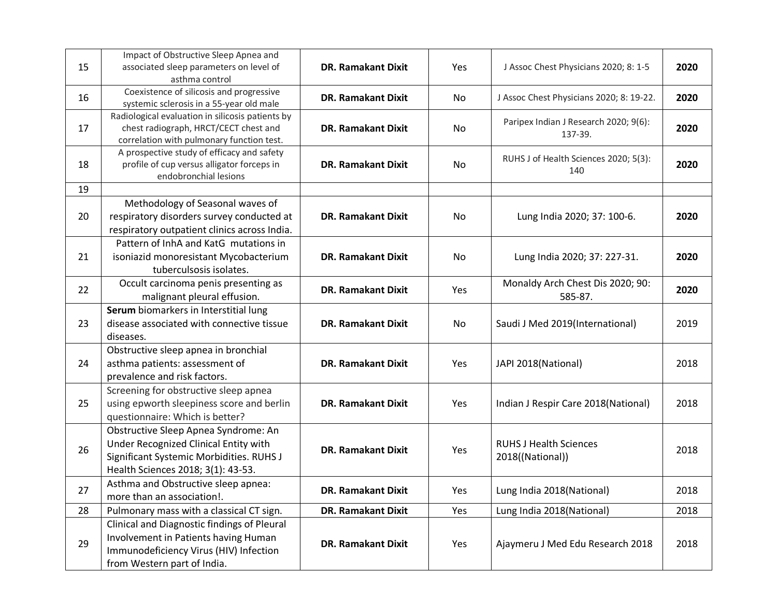| 15 | Impact of Obstructive Sleep Apnea and<br>associated sleep parameters on level of<br>asthma control                                                              | <b>DR. Ramakant Dixit</b> | Yes | J Assoc Chest Physicians 2020; 8: 1-5             | 2020 |
|----|-----------------------------------------------------------------------------------------------------------------------------------------------------------------|---------------------------|-----|---------------------------------------------------|------|
| 16 | Coexistence of silicosis and progressive<br>systemic sclerosis in a 55-year old male                                                                            | <b>DR. Ramakant Dixit</b> | No  | J Assoc Chest Physicians 2020; 8: 19-22.          | 2020 |
| 17 | Radiological evaluation in silicosis patients by<br>chest radiograph, HRCT/CECT chest and<br>correlation with pulmonary function test.                          | <b>DR. Ramakant Dixit</b> | No  | Paripex Indian J Research 2020; 9(6):<br>137-39.  | 2020 |
| 18 | A prospective study of efficacy and safety<br>profile of cup versus alligator forceps in<br>endobronchial lesions                                               | <b>DR. Ramakant Dixit</b> | No  | RUHS J of Health Sciences 2020; 5(3):<br>140      | 2020 |
| 19 |                                                                                                                                                                 |                           |     |                                                   |      |
| 20 | Methodology of Seasonal waves of<br>respiratory disorders survey conducted at<br>respiratory outpatient clinics across India.                                   | <b>DR. Ramakant Dixit</b> | No  | Lung India 2020; 37: 100-6.                       | 2020 |
| 21 | Pattern of InhA and KatG mutations in<br>isoniazid monoresistant Mycobacterium<br>tuberculsosis isolates.                                                       | <b>DR. Ramakant Dixit</b> | No  | Lung India 2020; 37: 227-31.                      | 2020 |
| 22 | Occult carcinoma penis presenting as<br>malignant pleural effusion.                                                                                             | <b>DR. Ramakant Dixit</b> | Yes | Monaldy Arch Chest Dis 2020; 90:<br>585-87.       | 2020 |
| 23 | Serum biomarkers in Interstitial lung<br>disease associated with connective tissue<br>diseases.                                                                 | <b>DR. Ramakant Dixit</b> | No  | Saudi J Med 2019(International)                   | 2019 |
| 24 | Obstructive sleep apnea in bronchial<br>asthma patients: assessment of<br>prevalence and risk factors.                                                          | <b>DR. Ramakant Dixit</b> | Yes | JAPI 2018(National)                               | 2018 |
| 25 | Screening for obstructive sleep apnea<br>using epworth sleepiness score and berlin<br>questionnaire: Which is better?                                           | <b>DR. Ramakant Dixit</b> | Yes | Indian J Respir Care 2018(National)               | 2018 |
| 26 | Obstructive Sleep Apnea Syndrome: An<br>Under Recognized Clinical Entity with<br>Significant Systemic Morbidities. RUHS J<br>Health Sciences 2018; 3(1): 43-53. | <b>DR. Ramakant Dixit</b> | Yes | <b>RUHS J Health Sciences</b><br>2018((National)) | 2018 |
| 27 | Asthma and Obstructive sleep apnea:<br>more than an association!.                                                                                               | <b>DR. Ramakant Dixit</b> | Yes | Lung India 2018(National)                         | 2018 |
| 28 | Pulmonary mass with a classical CT sign.                                                                                                                        | <b>DR. Ramakant Dixit</b> | Yes | Lung India 2018(National)                         | 2018 |
| 29 | Clinical and Diagnostic findings of Pleural<br>Involvement in Patients having Human<br>Immunodeficiency Virus (HIV) Infection<br>from Western part of India.    | <b>DR. Ramakant Dixit</b> | Yes | Ajaymeru J Med Edu Research 2018                  | 2018 |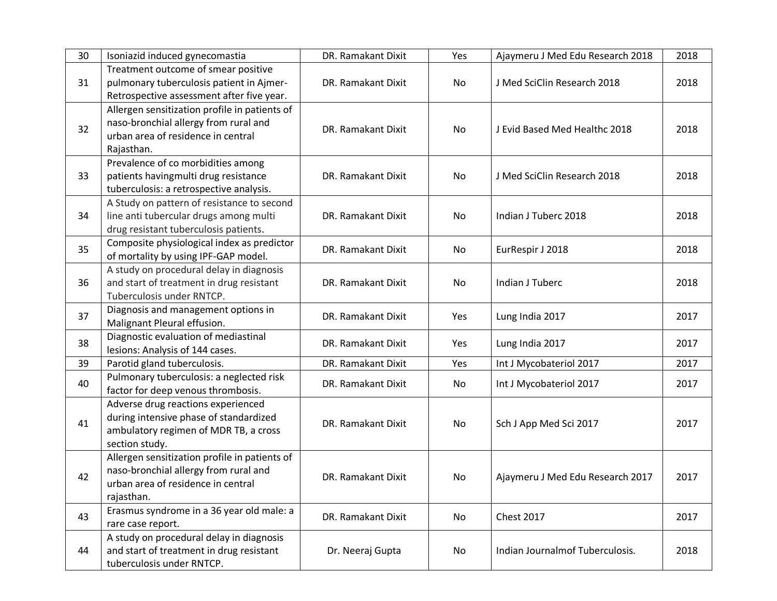| 30 | Isoniazid induced gynecomastia                                                                                                             | DR. Ramakant Dixit | Yes | Ajaymeru J Med Edu Research 2018 | 2018 |
|----|--------------------------------------------------------------------------------------------------------------------------------------------|--------------------|-----|----------------------------------|------|
| 31 | Treatment outcome of smear positive<br>pulmonary tuberculosis patient in Ajmer-<br>Retrospective assessment after five year.               | DR. Ramakant Dixit | No  | J Med SciClin Research 2018      | 2018 |
| 32 | Allergen sensitization profile in patients of<br>naso-bronchial allergy from rural and<br>urban area of residence in central<br>Rajasthan. | DR. Ramakant Dixit | No  | J Evid Based Med Healthc 2018    | 2018 |
| 33 | Prevalence of co morbidities among<br>patients havingmulti drug resistance<br>tuberculosis: a retrospective analysis.                      | DR. Ramakant Dixit | No  | J Med SciClin Research 2018      | 2018 |
| 34 | A Study on pattern of resistance to second<br>line anti tubercular drugs among multi<br>drug resistant tuberculosis patients.              | DR. Ramakant Dixit | No  | Indian J Tuberc 2018             | 2018 |
| 35 | Composite physiological index as predictor<br>of mortality by using IPF-GAP model.                                                         | DR. Ramakant Dixit | No  | EurRespir J 2018                 | 2018 |
| 36 | A study on procedural delay in diagnosis<br>and start of treatment in drug resistant<br>Tuberculosis under RNTCP.                          | DR. Ramakant Dixit | No  | Indian J Tuberc                  | 2018 |
| 37 | Diagnosis and management options in<br>Malignant Pleural effusion.                                                                         | DR. Ramakant Dixit | Yes | Lung India 2017                  | 2017 |
| 38 | Diagnostic evaluation of mediastinal<br>lesions: Analysis of 144 cases.                                                                    | DR. Ramakant Dixit | Yes | Lung India 2017                  | 2017 |
| 39 | Parotid gland tuberculosis.                                                                                                                | DR. Ramakant Dixit | Yes | Int J Mycobateriol 2017          | 2017 |
| 40 | Pulmonary tuberculosis: a neglected risk<br>factor for deep venous thrombosis.                                                             | DR. Ramakant Dixit | No  | Int J Mycobateriol 2017          | 2017 |
| 41 | Adverse drug reactions experienced<br>during intensive phase of standardized<br>ambulatory regimen of MDR TB, a cross<br>section study.    | DR. Ramakant Dixit | No  | Sch J App Med Sci 2017           | 2017 |
| 42 | Allergen sensitization profile in patients of<br>naso-bronchial allergy from rural and<br>urban area of residence in central<br>rajasthan. | DR. Ramakant Dixit | No  | Ajaymeru J Med Edu Research 2017 | 2017 |
| 43 | Erasmus syndrome in a 36 year old male: a<br>rare case report.                                                                             | DR. Ramakant Dixit | No  | <b>Chest 2017</b>                | 2017 |
| 44 | A study on procedural delay in diagnosis<br>and start of treatment in drug resistant<br>tuberculosis under RNTCP.                          | Dr. Neeraj Gupta   | No  | Indian Journalmof Tuberculosis.  | 2018 |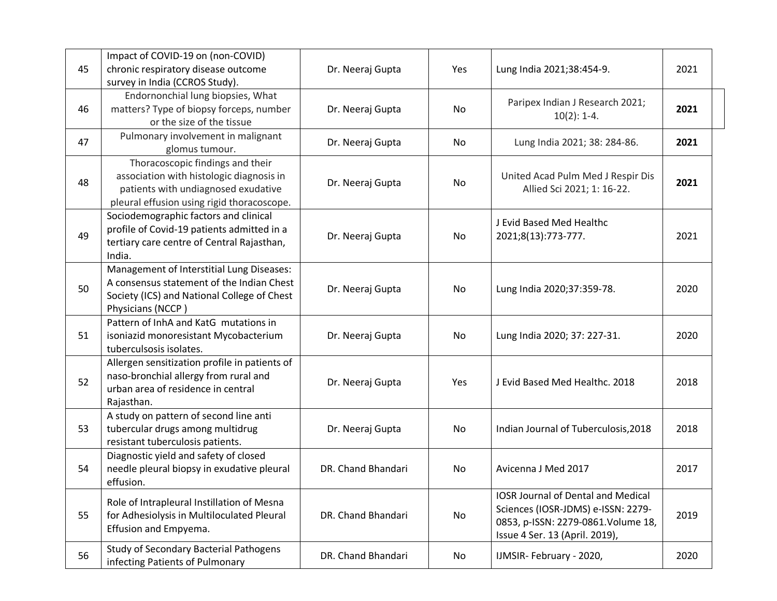| 45 | Impact of COVID-19 on (non-COVID)<br>chronic respiratory disease outcome                                                                                          | Dr. Neeraj Gupta   | Yes | Lung India 2021;38:454-9.                                                                                                                                | 2021 |
|----|-------------------------------------------------------------------------------------------------------------------------------------------------------------------|--------------------|-----|----------------------------------------------------------------------------------------------------------------------------------------------------------|------|
| 46 | survey in India (CCROS Study).<br>Endornonchial lung biopsies, What<br>matters? Type of biopsy forceps, number<br>or the size of the tissue                       | Dr. Neeraj Gupta   | No  | Paripex Indian J Research 2021;<br>$10(2): 1-4.$                                                                                                         | 2021 |
| 47 | Pulmonary involvement in malignant<br>glomus tumour.                                                                                                              | Dr. Neeraj Gupta   | No  | Lung India 2021; 38: 284-86.                                                                                                                             | 2021 |
| 48 | Thoracoscopic findings and their<br>association with histologic diagnosis in<br>patients with undiagnosed exudative<br>pleural effusion using rigid thoracoscope. | Dr. Neeraj Gupta   | No  | United Acad Pulm Med J Respir Dis<br>Allied Sci 2021; 1: 16-22.                                                                                          | 2021 |
| 49 | Sociodemographic factors and clinical<br>profile of Covid-19 patients admitted in a<br>tertiary care centre of Central Rajasthan,<br>India.                       | Dr. Neeraj Gupta   | No  | J Evid Based Med Healthc<br>2021;8(13):773-777.                                                                                                          | 2021 |
| 50 | Management of Interstitial Lung Diseases:<br>A consensus statement of the Indian Chest<br>Society (ICS) and National College of Chest<br>Physicians (NCCP)        | Dr. Neeraj Gupta   | No  | Lung India 2020;37:359-78.                                                                                                                               | 2020 |
| 51 | Pattern of InhA and KatG mutations in<br>isoniazid monoresistant Mycobacterium<br>tuberculsosis isolates.                                                         | Dr. Neeraj Gupta   | No  | Lung India 2020; 37: 227-31.                                                                                                                             | 2020 |
| 52 | Allergen sensitization profile in patients of<br>naso-bronchial allergy from rural and<br>urban area of residence in central<br>Rajasthan.                        | Dr. Neeraj Gupta   | Yes | J Evid Based Med Healthc. 2018                                                                                                                           | 2018 |
| 53 | A study on pattern of second line anti<br>tubercular drugs among multidrug<br>resistant tuberculosis patients.                                                    | Dr. Neeraj Gupta   | No  | Indian Journal of Tuberculosis, 2018                                                                                                                     | 2018 |
| 54 | Diagnostic yield and safety of closed<br>needle pleural biopsy in exudative pleural<br>effusion.                                                                  | DR. Chand Bhandari | No  | Avicenna J Med 2017                                                                                                                                      | 2017 |
| 55 | Role of Intrapleural Instillation of Mesna<br>for Adhesiolysis in Multiloculated Pleural<br>Effusion and Empyema.                                                 | DR. Chand Bhandari | No  | <b>IOSR Journal of Dental and Medical</b><br>Sciences (IOSR-JDMS) e-ISSN: 2279-<br>0853, p-ISSN: 2279-0861. Volume 18,<br>Issue 4 Ser. 13 (April. 2019), | 2019 |
| 56 | <b>Study of Secondary Bacterial Pathogens</b><br>infecting Patients of Pulmonary                                                                                  | DR. Chand Bhandari | No  | IJMSIR-February - 2020,                                                                                                                                  | 2020 |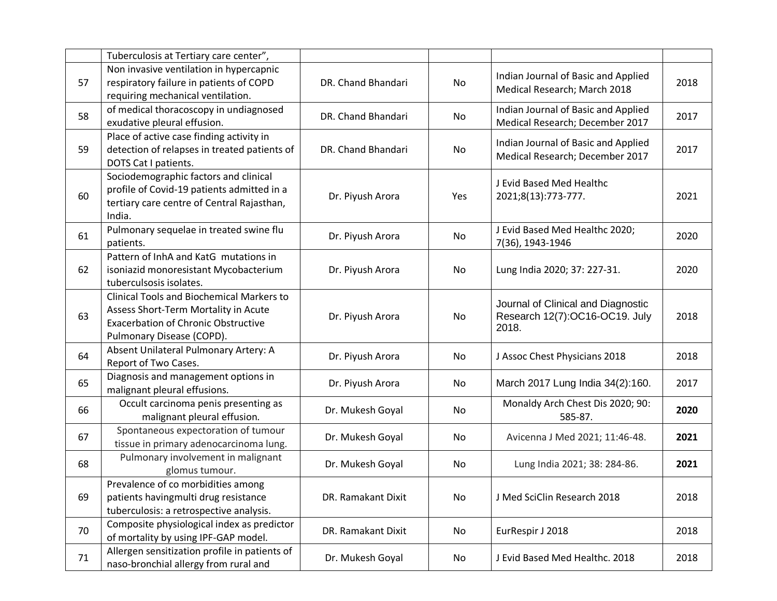|    | Tuberculosis at Tertiary care center",                                                                                                                              |                    |     |                                                                               |      |
|----|---------------------------------------------------------------------------------------------------------------------------------------------------------------------|--------------------|-----|-------------------------------------------------------------------------------|------|
| 57 | Non invasive ventilation in hypercapnic<br>respiratory failure in patients of COPD<br>requiring mechanical ventilation.                                             | DR. Chand Bhandari | No  | Indian Journal of Basic and Applied<br>Medical Research; March 2018           | 2018 |
| 58 | of medical thoracoscopy in undiagnosed<br>exudative pleural effusion.                                                                                               | DR. Chand Bhandari | No  | Indian Journal of Basic and Applied<br>Medical Research; December 2017        | 2017 |
| 59 | Place of active case finding activity in<br>detection of relapses in treated patients of<br>DOTS Cat I patients.                                                    | DR. Chand Bhandari | No  | Indian Journal of Basic and Applied<br>Medical Research; December 2017        | 2017 |
| 60 | Sociodemographic factors and clinical<br>profile of Covid-19 patients admitted in a<br>tertiary care centre of Central Rajasthan,<br>India.                         | Dr. Piyush Arora   | Yes | J Evid Based Med Healthc<br>2021;8(13):773-777.                               | 2021 |
| 61 | Pulmonary sequelae in treated swine flu<br>patients.                                                                                                                | Dr. Piyush Arora   | No  | J Evid Based Med Healthc 2020;<br>7(36), 1943-1946                            | 2020 |
| 62 | Pattern of InhA and KatG mutations in<br>isoniazid monoresistant Mycobacterium<br>tuberculsosis isolates.                                                           | Dr. Piyush Arora   | No  | Lung India 2020; 37: 227-31.                                                  | 2020 |
| 63 | <b>Clinical Tools and Biochemical Markers to</b><br>Assess Short-Term Mortality in Acute<br><b>Exacerbation of Chronic Obstructive</b><br>Pulmonary Disease (COPD). | Dr. Piyush Arora   | No  | Journal of Clinical and Diagnostic<br>Research 12(7):OC16-OC19. July<br>2018. | 2018 |
| 64 | Absent Unilateral Pulmonary Artery: A<br>Report of Two Cases.                                                                                                       | Dr. Piyush Arora   | No  | J Assoc Chest Physicians 2018                                                 | 2018 |
| 65 | Diagnosis and management options in<br>malignant pleural effusions.                                                                                                 | Dr. Piyush Arora   | No  | March 2017 Lung India 34(2):160.                                              | 2017 |
| 66 | Occult carcinoma penis presenting as<br>malignant pleural effusion.                                                                                                 | Dr. Mukesh Goyal   | No  | Monaldy Arch Chest Dis 2020; 90:<br>585-87.                                   | 2020 |
| 67 | Spontaneous expectoration of tumour<br>tissue in primary adenocarcinoma lung.                                                                                       | Dr. Mukesh Goyal   | No  | Avicenna J Med 2021; 11:46-48.                                                | 2021 |
| 68 | Pulmonary involvement in malignant<br>glomus tumour.                                                                                                                | Dr. Mukesh Goyal   | No  | Lung India 2021; 38: 284-86.                                                  | 2021 |
| 69 | Prevalence of co morbidities among<br>patients havingmulti drug resistance<br>tuberculosis: a retrospective analysis.                                               | DR. Ramakant Dixit | No  | J Med SciClin Research 2018                                                   | 2018 |
| 70 | Composite physiological index as predictor<br>of mortality by using IPF-GAP model.                                                                                  | DR. Ramakant Dixit | No  | EurRespir J 2018                                                              | 2018 |
| 71 | Allergen sensitization profile in patients of<br>naso-bronchial allergy from rural and                                                                              | Dr. Mukesh Goyal   | No  | J Evid Based Med Healthc. 2018                                                | 2018 |